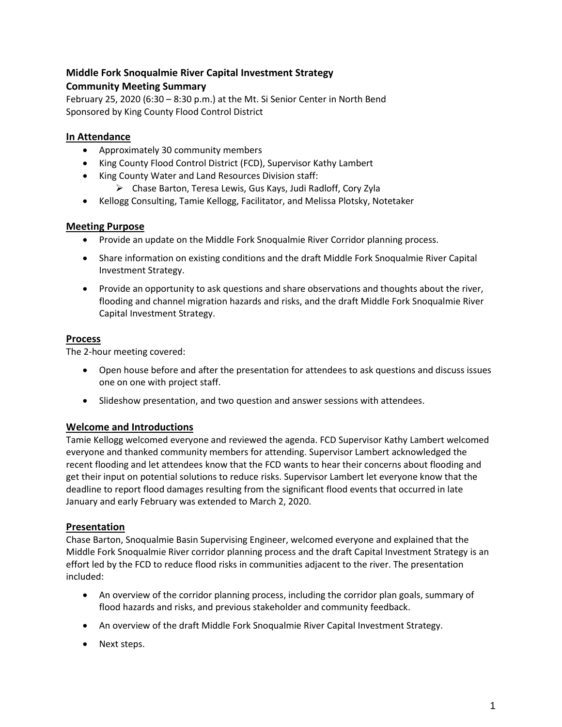# **Middle Fork Snoqualmie River Capital Investment Strategy Community Meeting Summary**

February 25, 2020 (6:30 – 8:30 p.m.) at the Mt. Si Senior Center in North Bend Sponsored by King County Flood Control District

# **In Attendance**

- Approximately 30 community members
- King County Flood Control District (FCD), Supervisor Kathy Lambert
- King County Water and Land Resources Division staff:
	- ➢ Chase Barton, Teresa Lewis, Gus Kays, Judi Radloff, Cory Zyla
- Kellogg Consulting, Tamie Kellogg, Facilitator, and Melissa Plotsky, Notetaker

## **Meeting Purpose**

- Provide an update on the Middle Fork Snoqualmie River Corridor planning process.
- Share information on existing conditions and the draft Middle Fork Snoqualmie River Capital Investment Strategy.
- Provide an opportunity to ask questions and share observations and thoughts about the river, flooding and channel migration hazards and risks, and the draft Middle Fork Snoqualmie River Capital Investment Strategy.

## **Process**

The 2-hour meeting covered:

- Open house before and after the presentation for attendees to ask questions and discuss issues one on one with project staff.
- Slideshow presentation, and two question and answer sessions with attendees.

# **Welcome and Introductions**

Tamie Kellogg welcomed everyone and reviewed the agenda. FCD Supervisor Kathy Lambert welcomed everyone and thanked community members for attending. Supervisor Lambert acknowledged the recent flooding and let attendees know that the FCD wants to hear their concerns about flooding and get their input on potential solutions to reduce risks. Supervisor Lambert let everyone know that the deadline to report flood damages resulting from the significant flood events that occurred in late January and early February was extended to March 2, 2020.

#### **Presentation**

Chase Barton, Snoqualmie Basin Supervising Engineer, welcomed everyone and explained that the Middle Fork Snoqualmie River corridor planning process and the draft Capital Investment Strategy is an effort led by the FCD to reduce flood risks in communities adjacent to the river. The presentation included:

- An overview of the corridor planning process, including the corridor plan goals, summary of flood hazards and risks, and previous stakeholder and community feedback.
- An overview of the draft Middle Fork Snoqualmie River Capital Investment Strategy.
- Next steps.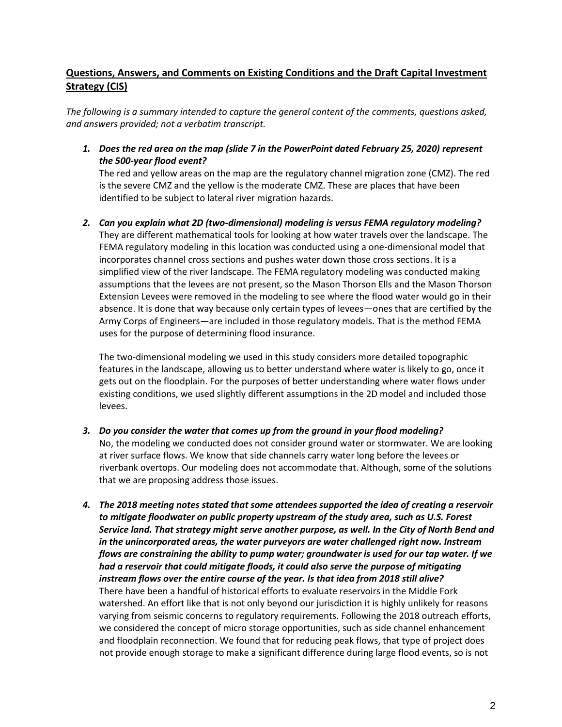# **Questions, Answers, and Comments on Existing Conditions and the Draft Capital Investment Strategy (CIS)**

*The following is a summary intended to capture the general content of the comments, questions asked, and answers provided; not a verbatim transcript.*

*1. Does the red area on the map (slide 7 in the PowerPoint dated February 25, 2020) represent the 500-year flood event?*

The red and yellow areas on the map are the regulatory channel migration zone (CMZ). The red is the severe CMZ and the yellow is the moderate CMZ. These are places that have been identified to be subject to lateral river migration hazards.

*2. Can you explain what 2D (two-dimensional) modeling is versus FEMA regulatory modeling?* They are different mathematical tools for looking at how water travels over the landscape. The FEMA regulatory modeling in this location was conducted using a one-dimensional model that incorporates channel cross sections and pushes water down those cross sections. It is a simplified view of the river landscape. The FEMA regulatory modeling was conducted making assumptions that the levees are not present, so the Mason Thorson Ells and the Mason Thorson Extension Levees were removed in the modeling to see where the flood water would go in their absence. It is done that way because only certain types of levees—ones that are certified by the Army Corps of Engineers—are included in those regulatory models. That is the method FEMA uses for the purpose of determining flood insurance.

The two-dimensional modeling we used in this study considers more detailed topographic features in the landscape, allowing us to better understand where water is likely to go, once it gets out on the floodplain. For the purposes of better understanding where water flows under existing conditions, we used slightly different assumptions in the 2D model and included those levees.

- *3. Do you consider the water that comes up from the ground in your flood modeling?*  No, the modeling we conducted does not consider ground water or stormwater. We are looking at river surface flows. We know that side channels carry water long before the levees or riverbank overtops. Our modeling does not accommodate that. Although, some of the solutions that we are proposing address those issues.
- *4. The 2018 meeting notes stated that some attendees supported the idea of creating a reservoir to mitigate floodwater on public property upstream of the study area, such as U.S. Forest Service land. That strategy might serve another purpose, as well. In the City of North Bend and in the unincorporated areas, the water purveyors are water challenged right now. Instream flows are constraining the ability to pump water; groundwater is used for our tap water. If we had a reservoir that could mitigate floods, it could also serve the purpose of mitigating instream flows over the entire course of the year. Is that idea from 2018 still alive?* There have been a handful of historical efforts to evaluate reservoirs in the Middle Fork watershed. An effort like that is not only beyond our jurisdiction it is highly unlikely for reasons varying from seismic concerns to regulatory requirements. Following the 2018 outreach efforts, we considered the concept of micro storage opportunities, such as side channel enhancement and floodplain reconnection. We found that for reducing peak flows, that type of project does not provide enough storage to make a significant difference during large flood events, so is not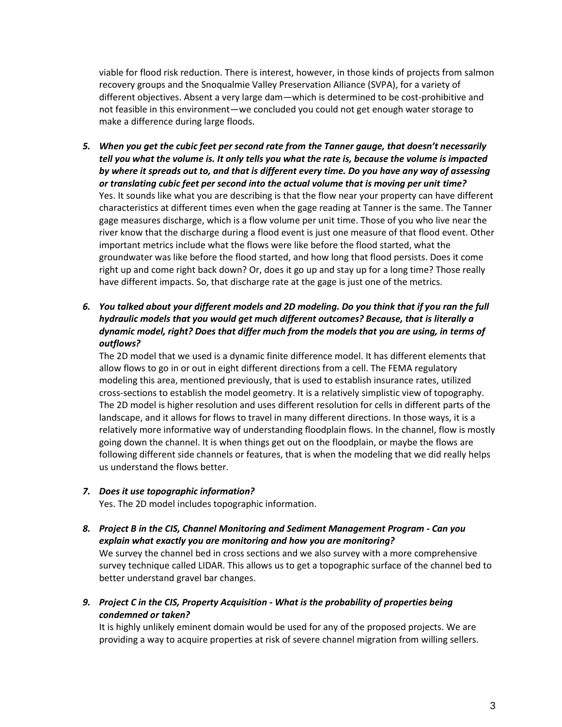viable for flood risk reduction. There is interest, however, in those kinds of projects from salmon recovery groups and the Snoqualmie Valley Preservation Alliance (SVPA), for a variety of different objectives. Absent a very large dam—which is determined to be cost-prohibitive and not feasible in this environment—we concluded you could not get enough water storage to make a difference during large floods.

- *5. When you get the cubic feet per second rate from the Tanner gauge, that doesn't necessarily tell you what the volume is. It only tells you what the rate is, because the volume is impacted by where it spreads out to, and that is different every time. Do you have any way of assessing or translating cubic feet per second into the actual volume that is moving per unit time?* Yes. It sounds like what you are describing is that the flow near your property can have different characteristics at different times even when the gage reading at Tanner is the same. The Tanner gage measures discharge, which is a flow volume per unit time. Those of you who live near the river know that the discharge during a flood event is just one measure of that flood event. Other important metrics include what the flows were like before the flood started, what the groundwater was like before the flood started, and how long that flood persists. Does it come right up and come right back down? Or, does it go up and stay up for a long time? Those really have different impacts. So, that discharge rate at the gage is just one of the metrics.
- *6. You talked about your different models and 2D modeling. Do you think that if you ran the full hydraulic models that you would get much different outcomes? Because, that is literally a dynamic model, right? Does that differ much from the models that you are using, in terms of outflows?*

The 2D model that we used is a dynamic finite difference model. It has different elements that allow flows to go in or out in eight different directions from a cell. The FEMA regulatory modeling this area, mentioned previously, that is used to establish insurance rates, utilized cross-sections to establish the model geometry. It is a relatively simplistic view of topography. The 2D model is higher resolution and uses different resolution for cells in different parts of the landscape, and it allows for flows to travel in many different directions. In those ways, it is a relatively more informative way of understanding floodplain flows. In the channel, flow is mostly going down the channel. It is when things get out on the floodplain, or maybe the flows are following different side channels or features, that is when the modeling that we did really helps us understand the flows better.

*7. Does it use topographic information?*

Yes. The 2D model includes topographic information.

- *8. Project B in the CIS, Channel Monitoring and Sediment Management Program - Can you explain what exactly you are monitoring and how you are monitoring?* We survey the channel bed in cross sections and we also survey with a more comprehensive survey technique called LIDAR. This allows us to get a topographic surface of the channel bed to better understand gravel bar changes.
- *9. Project C in the CIS, Property Acquisition - What is the probability of properties being condemned or taken?*

It is highly unlikely eminent domain would be used for any of the proposed projects. We are providing a way to acquire properties at risk of severe channel migration from willing sellers.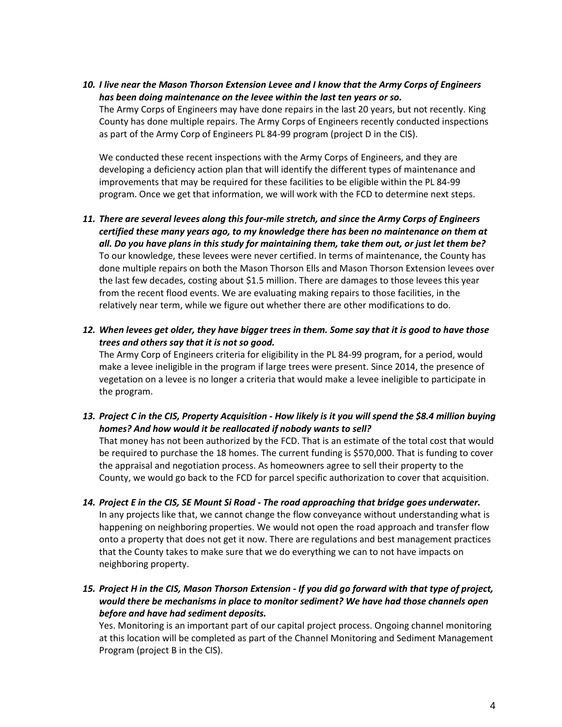*10. I live near the Mason Thorson Extension Levee and I know that the Army Corps of Engineers has been doing maintenance on the levee within the last ten years or so.*

The Army Corps of Engineers may have done repairs in the last 20 years, but not recently. King County has done multiple repairs. The Army Corps of Engineers recently conducted inspections as part of the Army Corp of Engineers PL 84-99 program (project D in the CIS).

We conducted these recent inspections with the Army Corps of Engineers, and they are developing a deficiency action plan that will identify the different types of maintenance and improvements that may be required for these facilities to be eligible within the PL 84-99 program. Once we get that information, we will work with the FCD to determine next steps.

- *11. There are several levees along this four-mile stretch, and since the Army Corps of Engineers certified these many years ago, to my knowledge there has been no maintenance on them at all. Do you have plans in this study for maintaining them, take them out, or just let them be?* To our knowledge, these levees were never certified. In terms of maintenance, the County has done multiple repairs on both the Mason Thorson Ells and Mason Thorson Extension levees over the last few decades, costing about \$1.5 million. There are damages to those levees this year from the recent flood events. We are evaluating making repairs to those facilities, in the relatively near term, while we figure out whether there are other modifications to do.
- *12. When levees get older, they have bigger trees in them. Some say that it is good to have those trees and others say that it is not so good.*

The Army Corp of Engineers criteria for eligibility in the PL 84-99 program, for a period, would make a levee ineligible in the program if large trees were present. Since 2014, the presence of vegetation on a levee is no longer a criteria that would make a levee ineligible to participate in the program.

*13. Project C in the CIS, Property Acquisition - How likely is it you will spend the \$8.4 million buying homes? And how would it be reallocated if nobody wants to sell?*

That money has not been authorized by the FCD. That is an estimate of the total cost that would be required to purchase the 18 homes. The current funding is \$570,000. That is funding to cover the appraisal and negotiation process. As homeowners agree to sell their property to the County, we would go back to the FCD for parcel specific authorization to cover that acquisition.

- *14. Project E in the CIS, SE Mount Si Road - The road approaching that bridge goes underwater.*  In any projects like that, we cannot change the flow conveyance without understanding what is happening on neighboring properties. We would not open the road approach and transfer flow onto a property that does not get it now. There are regulations and best management practices that the County takes to make sure that we do everything we can to not have impacts on neighboring property.
- *15. Project H in the CIS, Mason Thorson Extension - If you did go forward with that type of project, would there be mechanisms in place to monitor sediment? We have had those channels open before and have had sediment deposits.*

Yes. Monitoring is an important part of our capital project process. Ongoing channel monitoring at this location will be completed as part of the Channel Monitoring and Sediment Management Program (project B in the CIS).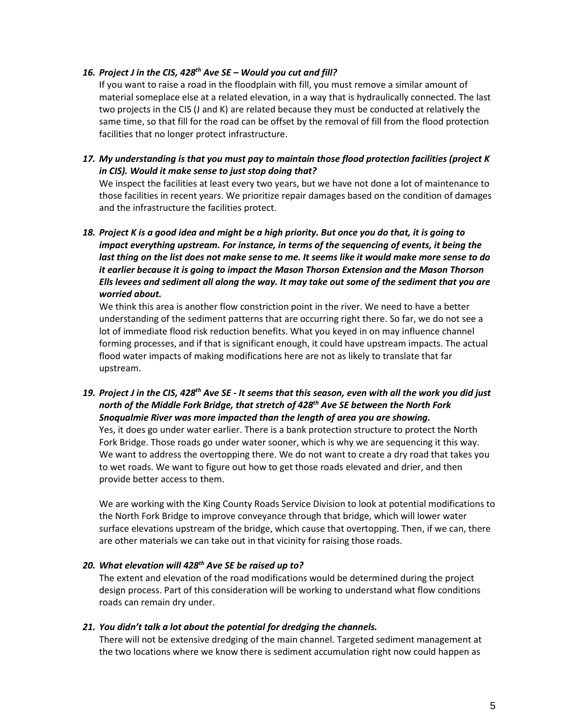#### *16. Project J in the CIS, 428th Ave SE – Would you cut and fill?*

If you want to raise a road in the floodplain with fill, you must remove a similar amount of material someplace else at a related elevation, in a way that is hydraulically connected. The last two projects in the CIS (J and K) are related because they must be conducted at relatively the same time, so that fill for the road can be offset by the removal of fill from the flood protection facilities that no longer protect infrastructure.

*17. My understanding is that you must pay to maintain those flood protection facilities (project K in CIS). Would it make sense to just stop doing that?* 

We inspect the facilities at least every two years, but we have not done a lot of maintenance to those facilities in recent years. We prioritize repair damages based on the condition of damages and the infrastructure the facilities protect.

*18. Project K is a good idea and might be a high priority. But once you do that, it is going to impact everything upstream. For instance, in terms of the sequencing of events, it being the last thing on the list does not make sense to me. It seems like it would make more sense to do it earlier because it is going to impact the Mason Thorson Extension and the Mason Thorson Ells levees and sediment all along the way. It may take out some of the sediment that you are worried about.*

We think this area is another flow constriction point in the river. We need to have a better understanding of the sediment patterns that are occurring right there. So far, we do not see a lot of immediate flood risk reduction benefits. What you keyed in on may influence channel forming processes, and if that is significant enough, it could have upstream impacts. The actual flood water impacts of making modifications here are not as likely to translate that far upstream.

*19. Project J in the CIS, 428th Ave SE - It seems that this season, even with all the work you did just north of the Middle Fork Bridge, that stretch of 428th Ave SE between the North Fork Snoqualmie River was more impacted than the length of area you are showing.*

Yes, it does go under water earlier. There is a bank protection structure to protect the North Fork Bridge. Those roads go under water sooner, which is why we are sequencing it this way. We want to address the overtopping there. We do not want to create a dry road that takes you to wet roads. We want to figure out how to get those roads elevated and drier, and then provide better access to them.

We are working with the King County Roads Service Division to look at potential modifications to the North Fork Bridge to improve conveyance through that bridge, which will lower water surface elevations upstream of the bridge, which cause that overtopping. Then, if we can, there are other materials we can take out in that vicinity for raising those roads.

#### *20. What elevation will 428th Ave SE be raised up to?*

The extent and elevation of the road modifications would be determined during the project design process. Part of this consideration will be working to understand what flow conditions roads can remain dry under.

#### *21. You didn't talk a lot about the potential for dredging the channels.*

There will not be extensive dredging of the main channel. Targeted sediment management at the two locations where we know there is sediment accumulation right now could happen as